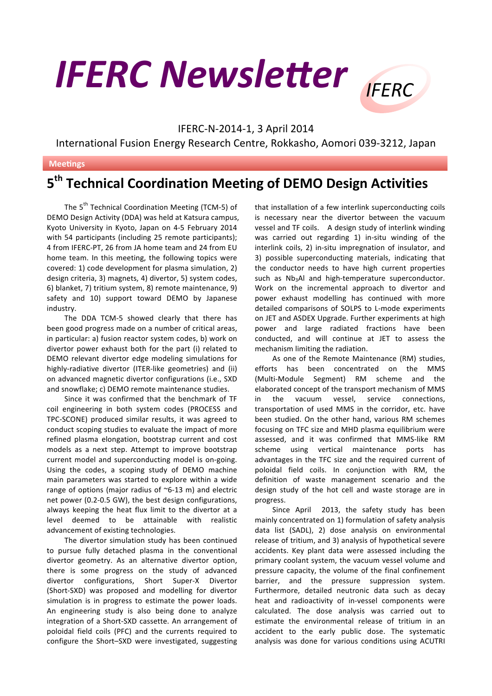## **IFERC Newsletter** IFFRC



## IFERC-N-2014-1, 3 April 2014

International Fusion Energy Research Centre, Rokkasho, Aomori 039-3212, Japan

## **Meetings**

## **5th Technical Coordination Meeting of DEMO Design Activities**

The 5<sup>th</sup> Technical Coordination Meeting (TCM-5) of DEMO Design Activity (DDA) was held at Katsura campus, Kyoto University in Kyoto, Japan on 4-5 February 2014 with 54 participants (including 25 remote participants); 4 from IFERC-PT, 26 from JA home team and 24 from EU home team. In this meeting, the following topics were covered: 1) code development for plasma simulation, 2) design criteria, 3) magnets, 4) divertor, 5) system codes, 6) blanket, 7) tritium system, 8) remote maintenance, 9) safety and 10) support toward DEMO by Japanese industry.

The DDA TCM-5 showed clearly that there has been good progress made on a number of critical areas, in particular: a) fusion reactor system codes, b) work on divertor power exhaust both for the part (i) related to DEMO relevant divertor edge modeling simulations for highly-radiative divertor (ITER-like geometries) and (ii) on advanced magnetic divertor configurations (i.e., SXD and snowflake; c) DEMO remote maintenance studies.

Since it was confirmed that the benchmark of TF coil engineering in both system codes (PROCESS and TPC-SCONE) produced similar results, it was agreed to conduct scoping studies to evaluate the impact of more refined plasma elongation, bootstrap current and cost models as a next step. Attempt to improve bootstrap current model and superconducting model is on-going. Using the codes, a scoping study of DEMO machine main parameters was started to explore within a wide range of options (major radius of  $\sim$ 6-13 m) and electric net power (0.2-0.5 GW), the best design configurations, always keeping the heat flux limit to the divertor at a level deemed to be attainable with realistic advancement of existing technologies.

The divertor simulation study has been continued to pursue fully detached plasma in the conventional divertor geometry. As an alternative divertor option, there is some progress on the study of advanced divertor configurations, Short Super-X Divertor (Short-SXD) was proposed and modelling for divertor simulation is in progress to estimate the power loads. An engineering study is also being done to analyze integration of a Short-SXD cassette. An arrangement of poloidal field coils (PFC) and the currents required to configure the Short-SXD were investigated, suggesting

that installation of a few interlink superconducting coils is necessary near the divertor between the vacuum vessel and TF coils. A design study of interlink winding was carried out regarding 1) in-situ winding of the interlink coils, 2) in-situ impregnation of insulator, and 3) possible superconducting materials, indicating that the conductor needs to have high current properties such as Nb3Al and high-temperature superconductor. Work on the incremental approach to divertor and power exhaust modelling has continued with more detailed comparisons of SOLPS to L-mode experiments on JET and ASDEX Upgrade. Further experiments at high power and large radiated fractions have been conducted, and will continue at JET to assess the mechanism limiting the radiation.

As one of the Remote Maintenance (RM) studies, efforts has been concentrated on the MMS (Multi-Module Segment) RM scheme and the elaborated concept of the transport mechanism of MMS in the vacuum vessel, service connections, transportation of used MMS in the corridor, etc. have been studied. On the other hand, various RM schemes focusing on TFC size and MHD plasma equilibrium were assessed, and it was confirmed that MMS-like RM scheme using vertical maintenance ports has advantages in the TFC size and the required current of poloidal field coils. In conjunction with RM, the definition of waste management scenario and the design study of the hot cell and waste storage are in progress. 

Since April 2013, the safety study has been mainly concentrated on 1) formulation of safety analysis data list (SADL), 2) dose analysis on environmental release of tritium, and 3) analysis of hypothetical severe accidents. Key plant data were assessed including the primary coolant system, the vacuum vessel volume and pressure capacity, the volume of the final confinement barrier, and the pressure suppression system. Furthermore, detailed neutronic data such as decay heat and radioactivity of in-vessel components were calculated. The dose analysis was carried out to estimate the environmental release of tritium in an accident to the early public dose. The systematic analysis was done for various conditions using ACUTRI